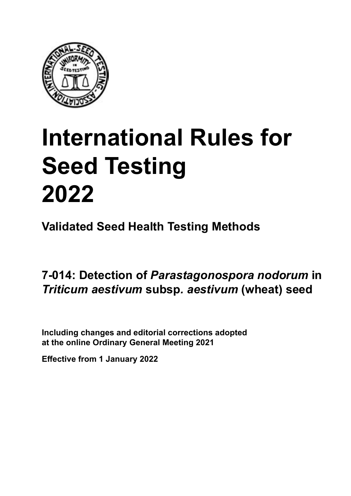

# **International Rules for Seed Testing von Saatgut 2022 2022 Semences 2022 International Rules for Seed Testing 2022**

**Métodos Validados para Análisis de Sanidad de Semillas Validate Méthodes Validées pour Analyse Sanitaire des Semences Validated Seed Health Testing Methods**

#### **7‑014: Detección de** *Parastagonospora nodorum* **Nachweis von** *Parastagonospora nodorum* **Détection de** *Parastagonospora nodorum* **en semillas de** *Triticum aestivum* **subsp***. aestivum* **(trigo) an Samen von** *Triticum aestivum* **subsp***. aestivum* **(Weizen) sur semences de** *Triticum aestivum* **subsp***. a*<br>*b*<br>*b*<br>*b*<br>*b*<br>*b*<br>*b* **7‑014: Detection of** *Parastagonospora nodorum* **in**  *Triticum aestivum* **subsp***. aestivum* **(wheat) seed**

Including changes and editorial corrections adopted at the online Ordinary General Meeting 2021

**Effective from 1 January 2022**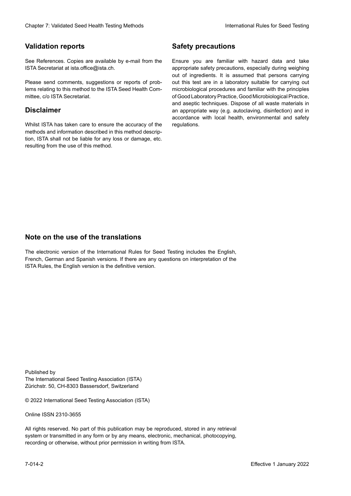### **Validation reports**

See References. Copies are available by e-mail from the<br>ISTA Secretariat at ista.office@ista.ch. ISTA Secretariat at ista.office@ista.ch.

lems relating to this method to the ISTA Seed Health Com-<br>mittee, c/o ISTA Secretariat. mittee, c/o ISTA Secretariat.<br>i Please send comments, suggestions or reports of prob-

## **Limitation de responsabilité Disclaimer**

Whilst ISTA has taken care to ensure the accuracy of the<br>methods and information described in this method description, ISTA shall not be liable for any loss or damage, etc.<br>resulting from the use of this method.<br>. resulting from the use of this method. Whilst ISTA has taken care to ensure the accuracy of the methods and information described in this method descrip-<br>tion, ISTA shall not be liable for any loss or damage, etc. tion, ISTA shall not be liable for any loss or damage, etc.<br>resulting from the use of this method.

## **Medidas de seguridad Sicherheitsmaßnahmen Sécurité Safety precautions**

Ensure you are familiar with hazard data and take Ensure you are familiar with hazard data and take<br>appropriate safety precautions, especially during weighing out of ingredients. It is assumed that persons carrying out this test are in a laboratory suitable for carrying out microbiological procedures and familiar with the principles of Good Laboratory Practice, Good Microbiological Practice, and aseptic techniques. Dispose of all waste materials in an appropriate way (e.g. autoclaving, disinfection) and in accordance with local health, environmental and safety regulations. Glade 7: Validated Deed Health Testing holes by Safety precentions and the Sack Testing about the Sack Testing Control of the Sack Testing von Sale of the Unit of the Sack Testing von Sale of the Unit of the Sack Testing v microbiological procedures and familiar with the principles<br>of Good Laboratory Practice, Good Microbiological Practice,<br>and aseptic techniques. Dispose of all waste materials in<br>an appropriate way (e.g. autoclaving, disinf fallstoffe sind auf geeignete Weise und entsprechend der vor Ort über der vor Ort über und Umwelt- und Umwelt-<br>Eine und Umwelt-Effective Counter of Nicholas Devel Teach Teach Teach Devel Safety precedutions<br>
Yaristotic energy of Safety precedutions and Safety precedutions of the United Safety precedutions of the United Sementary and Sementary and of Good Laboratory Practice, Good Microbiological Practice,<br>and aseptic techniques. Dispose of all waste materials in<br>an appropriate way (e.g. autoclaving, disinfection) and in Validation reports<br>
Since The Texture 1988 and the system of the Since Theorem and the Since Theorem and the system of the Since The Since The Since The Since The Since The Since The Since The Since The Since The Since The Ensure you are familiar with hazard data and take<br>appropriate safety precautions, especially during weighing<br>out of ingredients. It is assumed that persons carrying<br>out this test are in a laboratory suitable for carrying o

## **Nota sobre el uso de traducciones Anmerkung zur Benutzung der Übersetzungen Note on the use of the translations**

The electronic version of the International Rules for Seed Testing includes the English, French, German and Spanish versions. If there are any questions on interpretation of the ISTA Rules, the English version is the definitive version. The electronic version of the International Rules for Seed Testing includes the English,<br>French, German and Spanish versions. If there are any questions on interpretation of the<br>ISTA Rules, the English version is the defin The electronic version of the International Rules for Seed Testing includes the English,<br>French, German and Spanish versions. If there are any questions on interpretation of the

Published by **Extending Association (ISTA)** The International Seed Testing Association (ISTA) Zürichstr. 50, CH-8303 Bassersdorf, Switzerland

© 2022 International Seed Testing Association (ISTA)

Alle Rechte vorbehalten. Kein Teil dieses Werkes darf in irgendwelcher Form oder durch Online ISSN 2310-3655

All rights reserved. No part of this publication may be reproduced, stored in any retrieval All rights reserved. No part of this publication may be reproduced, stored in any retrieval<br>system or transmitted in any form or by any means, electronic, mechanical, photocopying,<br>recording or otherwise, without prior per recording or otherwise, without prior permis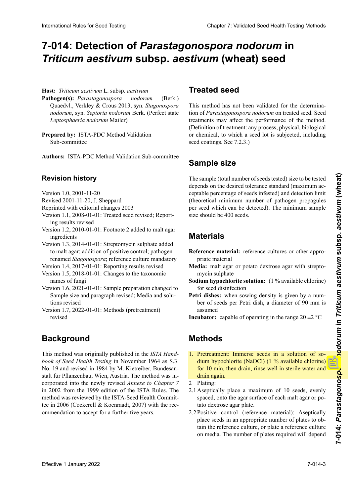# **7-014: Detección de** *Parastagonospora nodorum* **en 7‑014: Nachweis von** *Parastagonospora nodorum* **an Detection of** *Parastagonospora nodorum* **in**  7-014: Detection of *Parastagonospora nodorum* in<br>*Triticum aestivum* subsp. *aestivum* (wheat) seed

Host: Triticum aestivum L. subsp. aestivum

- **Patógeno(s):** *Parastagonospora nodorum* (Berk.) **Pathogen(s):** *Parastagonospora nodorum* (Berk.) Quaedvl., Verkley & Crous 2013, syn. *Stagonospora nodorum*, syn. *Septoria nodorum* Berk. (Perfect state to *Leptosphaeria nodorum* Mailer) form *Leptosphaeria nodorum* Mailer) *Leptosphaeria nodorum* Mailer) *Leptosphaeria nodorum* Mailer) **Pathogen(s):** *Parastagonospora nodorum* (Berk.)<br>Quaedvl., Verkley & Crous 2013, syn. *Stagonospora*<br>*nodorum* syn. *Septoria nodorum* Berk. (Perfect state Quaedvl., Verkley & Crous 2013, syn. *Stagonospora*
- Prepared by: ISTA-PDC Method Validation Sub-committee

**Autores:** ISTA-PDC Method Validation Sub-committee **Autoren:** ISTA-PDC Method Validation Sub-committee **Préparé par :** Sous-Comité de Validation des Méthodes Authors: ISTA-PDC Method Validation Sub-committee

### **Historial de revisiones Revisionsstand Historique de la révision Revision history**

- Versión 1.0, 2001-11-20  $Version 1.0, 2001-11-20$
- Revised 2001-11-20, J. Sheppard
- Reprinted with editorial changes 2003
- Version 1.1, 2008-01-01: Treated seed revised; Reporting results revised
- Version 1.2, 2010-01-01: Footnote 2 added to malt agar ingredients

Version 1.3, 2014-01-01: Streptomycin sulphate added to malt agar; addition of positive control; pathogen renamed *Stagonospora*; reference culture mandatory

- Version 1.4, 2017-01-01: Reporting results revised
- Version 1.5, 2018-01-01: Changes to the taxonomic names of fungi
- Version 1.6, 2021-01-01: Sample preparation changed to Sample size and paragraph revised; Media and solutions revised
- Version 1.7, 2022-01-01: Methods (pretreatment) revised

### **Background** Die Methode ist im Original zunächst veröffentlicht wor-

This method was originally published in the ISTA Handbook of Seed Health Testing in November 1964 as S.3.<br>No 10 and arrived in 1984 by M. Kietniker, Dundang sook of seea Treature results in November 1984 as s.s.<br>No. 19 and revised in 1984 by M. Kietreiber, Bundesan- $\frac{1}{100}$ . 17 and revised in 1704 by  $\frac{1}{100}$ . Kieuvichor, Bandesan corporado en el nuevamente revisado en el nuevo de *Capítulo <sup>7</sup> 7* en el 2002 de la estado de la estado 1999 de la estado 1999 de la estado 1999 de la estado 1999 de la estado 1999 de la estado 1999 de la estado 1999 de la estado 1999 de la estado 1999 de la estado 1999 de la estado 1 m 2002 nom die 1999 edition of the ISTA Kutes. The method was reviewed by the ISTA-Seed Health Committee in 2006 (Cockerell & Koenraadt, 2007) with the rec-W. D and Forsed in 1904 by M. Kielefoet, Bandesan  $\frac{1}{4}$  independent Anhang  $\frac{1}{4}$  den  $\frac{1}{4}$  der Austria. The include was inder ISTA-Vorschriften von 1999 über der ISTA-Vorschriften von 1999 über der Me-Me-Me-Me-Me-Me-Me-Meth  $2002$  from the 1999 edition of the ISTA-Nutes. The Pflanzenbau, Mien, Austria. The méthode a été incorporée stalt für Pflanzenbau, Wien, Austria. The method was inin 2002 from the 1999 edition of the ISTA Rules. The method was reviewed by the ISTA-Seed Health Commit-<br>tee in 2006 (Cockerell & Koenraadt, 2007) with the rec-International Rules for Seed Testing Company of the Company of the Company of the Company of the Company of the Company of the Company of the Company of the Company of the Company of the Company of the Company of the Comp corporated into the newly revised *Annexe to Chapter 7*  ommendation to accept for a further five years.

## **Semilla tratada Behandeltes (gebeiztes) Saatgut Semences traitées Treated seed**

This method has not been validated for the determina-<br>tion of *Parastagonospora nodorum* on treated seed. Seed tion of *Parastagonospora nodorum* on treated seed. Seed treatments may affect the performance of the method. todo. (Definición de tratamiento: todo proceso físico, bio-beeinflussen. (Definition "Behandlung": jegliches Verfah(Definition of treatment: any process, physical, biological or chemical, to which a seed lot is subjected, including  $\frac{1}{2}$  seminum, to which a seed for  $\frac{1}{2}$  semi- $\sec$  countger; see  $(2.3)$ seed coatings. See 7.2.3.)

### Samnle si<del>z</del>e **Probengröße** La taille de l'échantillon (nombre total de semences tes-**Sample size**

 $\mathbb{E}$  tamaño de la muestra a ser analizada (número total de la muestra a ser analizada (número total de la muestra de la muestra a ser analizada (número total de la muestra de la muestra de la muestra de la muestra de I'm analysis analysis and dependent of the sample (total number of seeds tested) size to be tested depends on the desired tolerance standard (maximum acceptable percentage of seeds infested) and detection limit (theoretical minimum number of pathogen propagules (theoretical minimum number of pathogen propagules<br>per seed which can be detected). The minimum sample size should be 400 seeds. The sample (total number of seeds tested) size to be tested The sample (total number of seeds tested) size to be tested<br>depends on the desired tolerance standard (maximum ac-<br>ceptable percentage of seeds infested) and detection limit<br>(theoretical minimum number of pathogen propagul

#### **Materiales Matériel Materials**

- Reference material: reference cultures or other appropriate material **in**
- Media: malt agar or potato dextrose agar with streptomycin sulphate **Solution de sodium (chlore disponible mycin**) sulphate
- **Sodium hypochlorite solution:** (1 % available chlorine) for seed disinfection
- **Petri dishes:** when sowing density is given by a number of seeds ner Petri dish. a diameter of 90 mm is ber of seeds per Petri dish, a diameter of 90 mm is assumed
- **Incubator:** capable of operating in the range  $20 \pm 2$  °C **Inkubator:** Temperaturbereich 20 ±2 °C

#### **Methods Methoden Methods** 1. Prétraitement : Recouvrir les semences d'une solution

- 1. Pretreatment: Immerse seeds in a solution of so-<br>dinne bypochlorite  $(N_QC1)$  (1% cycloble obloring) 1. Prededinemi minister secas in a solution of secare dium hypochlorite (NaOCl) (1 % available chlorine) for 10 min, then drain, rinse well in sterile water and agua estéril y drenar. 2. Ensemencement : drain again. uram agam.<br>Die einde volgen und abspülen und abspülen und abtropfen lassen. <sup>2</sup> diam agam.<br>2.1 Placer de maximum, est instrument maximum, est instrument maximum, est instrument maximum, est instrument m
- and age
- 2.1 Poner asépticamente un máximo de 10 semillas, uni $f(x)$  formula distribution distribution del again del again del again del again del again del again del again del again del again del again de la superficie del again de la superficie de la superficie de la superficie de spaced, onto the agar surface of each malt agar or po-2.2 Control positivo de referencia de referencia de referencia de referencia de referencia de referencias de r 2. Fraung.<br>0. 1. Austrian 2.1 Aseptically place a maximum of 10 secus, evenly rato dextrose-agar-plate.<br>régulièrement espacées, surface de l'agar de l'agar de l'agar de l'agar de l'agar de l'agar de l'agar de l'aga 2.1 Aseptically place a maximum of 10 seeds, evenly semences de manières de manières de manières de manières de manières de manières de la manière de la manière d tato dextrose agar plate.
- Positive control (reference material): Aseptically Positive control (reference material): Aseptically<br>place seeds in an appropriate number of plates to obtain the reference culture, or plate a reference culture 2.2 Positive control (reference material): Aseptically tain the reference culture, or plate a reference culture<br>on media. The number of plates required will depend 2.2 Positive control (reference material): Aseptically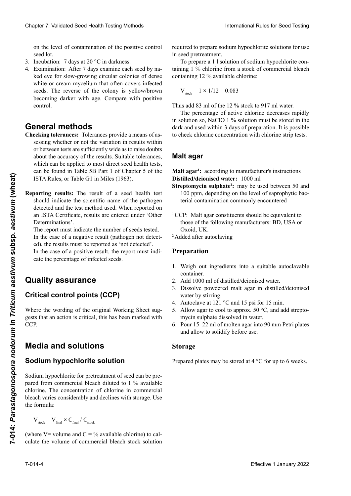on the level of contamination of the positive control seed lot. lote de semillas de control positivo. Aussi volta de control positivo en el material de control positivo de con

- 3. Incubation: 7 days at 20 °C in darkness.
- seed lot.<br>3. Incubation: 7 days at 20 °C in darkness.<br>4. Examination: After 7 days examine each seed by naked eve for slow-growing circular colonies of dense ked eye for slow-growing circular colonies of dense white or cream mycelium that often covers infected<br>seeds. The reverse of the colony is vellow/brown seeds. The reverse of the colony is yellow/brown becoming darker with age. Compare with positive se más oscuro con el tiempo. Comparar con el control control. **Méthodes générales** 4. Examination: After 7 days examine each seed by na-

## **Ceneral methods**

- **Métodos de la variation de subset de la variation du régne du résultat du résultat du résultat du résultat du** r or between tests are sufficiently wide as to raise doubts about the accuracy of the results. Suitable tolerances, which can be applied to most direct seed health tests,<br>can be found in Table 5B Part 1 of Chapter 5 of the which can be applied to most there see the affinitious, can be found in Table 5D Fait 1 of Chapter 5 of the ISTA Rules, or Table G1 in Miles (1963). Clearios 7: Validated Peeti Peeti Period Territos holds in the particle of property about the property about the particle of the particle of the particle of the control of the particle of the control of the control of the entring coordiness coordinees provide a means or as which can be applied to most there see health tests, can be found in Table 5B Part 1 of Chapter 5 of the  $T_{\text{S}}$ Chaos T Validiati Sead Health Forming the Branch control experimental in the resident of the UNIX (Control experimental in the UNIX (Control experimental in the UNIX (Control experimental in the UNIX (Control experimental
	- nidad de semilla, pueden encontrarse en las Tablas 5B, porting results: The result of a seed health test should indicate the scientific name of the pathogen an ISTA Certificate, results are entered under 'Other Determinations'. G1 in Miles (1963). **Indication des résultats :** Le résultat d'un essai de quadetected and the test method used. When reported on Reporting results: The result of a seed health test

The report must indicate the number of seeds tested. The report must indicate the number of seeds tested.<br>In the case of a negative result (pathogen not detected), the results must be reported as 'not detected'. In the case of a positive result, the report must indi-<br>cate the percentage of infected seeds. cate the percentage of infected seeds.

## **Quality assurance**

## **Critical control points (CCP)**

where the wording of the original working **Puntos críticos de control (PCC)** Where the wording of the original Working Sheet sug-**Kritische Kontrollpunkte (KKP)** gests that an action is critical, this has been marked with CCP.

#### **Media and solutions** sus una acción es crítica, és crítica, és crítica, és crítica, és crítica, és crítica, és crítica, és crítica, **Solution d'hypochlorite de sodium**

### Sodium L'hypochlorite de sodium pour le prétraitement de la se-**Sodium hypochlorite solution**

**Sodium** hypochlorite for pretreatr **Solucion de la concentration de chiorine in**  $\sum_{n=1}^{\infty}$ Sodium hypochlorite for pretreatment of seed can be prepared from commercial bleach diffused to 1 <sup>76</sup> available chlorine. The concentration of chlorine in commercial bieach varies considerably and decimes with storage. Ose  $\sum_{n=1}^{\infty}$ Boulain hypothorite for pretreatment of seed can be pre-<br>pared from commercial bleach diluted to 1 % available emornie. The concentration of chronie in commercial<br>bleach varies considerably and declines with storage. Use the formula: EFFIX Roles, or Table G1 in Mides (1963).<br> **Streptomyein suphated vestering results of the result of a seed hetable test is tried in the most of an area of the path-paper.<br>
<b>Streptomyein suppared even the control of a s** 

$$
\rm V_{\rm stock} = V_{\rm final} \times C_{\rm final} \, / \, C_{\rm stock}
$$

(where  $V =$  volume and  $C = \frac{9}{6}$  available chlorine) to (where  $V =$  volume and  $C = V_0$  available chlorine) to calculate the volume of commercial bleach stock solution (where V= volume and  $C = \%$  available chlorine) to calculate the volume of commercial bleach stock solution (where V= volume and  $C = \frac{6}{3}$  available chlorine) to calrequired to prepare sodium hypochlorite solutions for use<br>in seed pretreatment. in seed pretreatment.

To prepare a 1 l solution of sodium hypochlorite containing 1 % chlorine from a stock of commercial bleach containing 12 % available chlorine:

$$
V_{\text{stock}} = 1 \times 1/12 = 0.083
$$

Thus add 83 ml of the 12 % stock to 917 ml water.<br>The percentage of active chlorine decreases rapidly

in solution so, NaClO 1 % solution must be stored in the eum end este winn e euge er propertien. Et a possert de encer The percentage of active chlorine decreases rapidly dark and used within 3 days of preparation. It is possible and the asset which is any our preparament in the position

#### soluti<mark>ón, por lo tanto, la solución, la solució</mark>n de 1 % de 1 % de 1 % de 1 % de 1 % de NaClO de 1 % de NaClO de 1 % de 1 % de 1 % de 1 % de 1 % de 1 % de 1 % de 1 % de 1 % de 1 % de 1 % de 1 % de 1 % de 1 % de 1 % de 1 % marcagur D. h. 83ml der Stammlösung mit 917ml Wasser verdünnen. **Malt agar**

preparada. Es posible verificar la concentración de cloro Der Prozentsatz an aktivem Chlor nimmt in der Lösung **Distilled/deionised water:** 1000 ml<br>Distilled/deionised water: 1000 ml  $\frac{1}{2}$  according to manufacturely instructions pisuneu/ueloniseu water: 1000 mi **Malt agar<sup>1</sup>**: according to manufacturer's instructions

- 100 ppm, depending on the level of saprophytic bac-**Streptomycin sulphate<sup>2</sup>**: may be used between 50 and terial contamination commonly encountered
- **Agar malta<sup>1</sup> :** de acuerdo a las instrucciones del fabricante <sup>1</sup> CCP: Malt agar constituents should b those of the following manufacturers: BD, USA or 100 ppm, dependiendo del nivel de contaminación de **Malz-Agar<sup>1</sup>** Oxoid, UK. **IK.** entsprechend des Herstellers. valents à ceux des fabricants suivants suivants suivants suivants suivants suivants suivants  $\mathbb{R}^n$ <sup>1</sup> CCP: Malt agar constituents should be equivalent to
- <sup>2</sup> Added after autoclaving

## **Preparation**

- 1. Weigh out ingredients into a suitable autoclavable container.
- 2. Add 1000 ml of distilled/deionised water.
- water by stirring. 3. Dissolve powdered malt agar in distilled/deionised
- 4. Autoclave at 121 °C and 15 psi for 15 min.
- 5. Allow agar to cool to approx.  $50 °C$ , and add streptomycin sulphate dissolved in water.
- 6. Pour 15–22 ml of molten agar into 90 mm Petri plates  $\overline{\phantom{a}}$  and allow to solidify before use desionizada mediante agitación.  $\frac{1}{2}$  and allow to solidify before use and allow to solidify before use.

#### 4. Autoclavar a 121 °C y 15 psi por 15 minutos. 2.1000 ml destilliertes/deionisiertes Wasser zufügen. **Stockage Storage** 5. Dejar que el agar se enfríe a aproximadamente 50 °C 3.Malz-Agar durch Rühren in destilliertem/deionisier-

 $_{\rm{good}}$  eletes may be stougd at  $4.9^\circ$  for un to 6 years purcu tem Wasser suspendieren.  $\frac{1}{2}$  repared practs may be stored at  $\frac{1}{2}$   $\frac{1}{2}$  for ap to  $\frac{1}{2}$  m Prepared plates may be stored at  $4 °C$  for up to 6 weeks.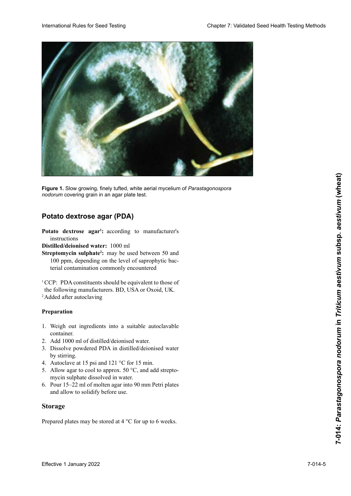

**Figure 1.** Slow growing, finely tufted, white aerial mycelium of *Parastagonospora* nodorum covering grain in an agar plate test.

## **Kartoffel-Dextrose-Agar (PDA) Potato dextrose agar Potato dextrose agar (PDA)**

instructions Potato dextrose agar<sup>1</sup>: according to manufacturer's

**Distilled/deionised water:** 1000 ml

Streptomycin sulphate<sup>2</sup>: may be used between 50 and 100 ppm, depending on the level of saprophytic bacterial contamination commonly encountered bacterias saprófitas comúnmente encontradas CCP : les constituants du PDA devraient être équivalents

the following manufacturers. BD, USA or Oxoid, UK.  $\frac{a}{\sqrt{a}}$  $\overline{P}$  Added after autoclaving <sup>1</sup> CCP: PDA constituents should be equivalent to those of <sup>2</sup> Added after autoclaving

- Preparation **Préparation Preparation**
- 1. Weigh out  $\frac{1}{2}$  Weight out 1. Weigh out ingredients into a suitable autoclavable container.
- 2. Add 1000 ml of distilled/deionised water.
- 2. Aug 1000 fill of district deformed water.  $\frac{1}{2}$  $\alpha$  by surring.  $\frac{1}{2}$ 2. Dissolve powdered FDA in distilled/deionised w  $2.$  Add T000 ml di distillée/défonsée water. 3. Dissolve powdered PDA in distilled/deionised water by stirring.
- 4. Autoclave at 15 psi and 121 °C for 15 min.
- 5. Allow agar to cool to approx. 50  $\degree$ C, and add streptomycin sulphate dissolved in water.
- 6. Pour 15–22 ml of molten agar into 90 mm Petri plates and allow to solidify before use.

### **Storage**

Prepared plates may be stored at 4 °C for up to 6 weeks.